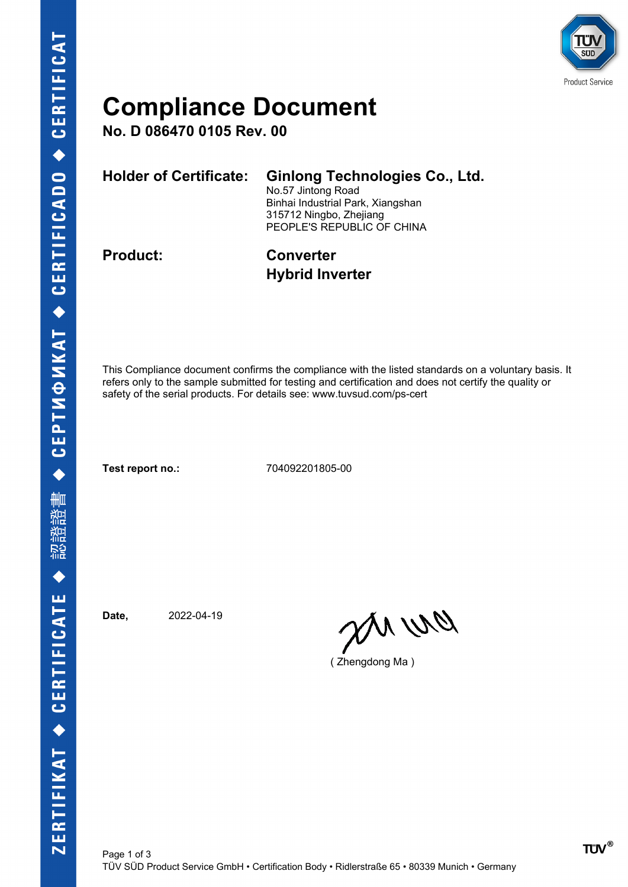

### **Compliance Document**

**No. D 086470 0105 Rev. 00**

| <b>Holder of Certificate:</b> | <b>Ginlong Technologies Co., Ltd.</b><br>No.57 Jintong Road<br>Binhai Industrial Park, Xiangshan<br>315712 Ningbo, Zhejiang<br>PEOPLE'S REPUBLIC OF CHINA |
|-------------------------------|-----------------------------------------------------------------------------------------------------------------------------------------------------------|
| <b>Product:</b>               | <b>Converter</b>                                                                                                                                          |

# **Hybrid Inverter**

This Compliance document confirms the compliance with the listed standards on a voluntary basis. It refers only to the sample submitted for testing and certification and does not certify the quality or safety of the serial products. For details see: www.tuvsud.com/ps-cert

**Test report no.:** 704092201805-00

**Date,** 2022-04-19

pri wa

( Zhengdong Ma )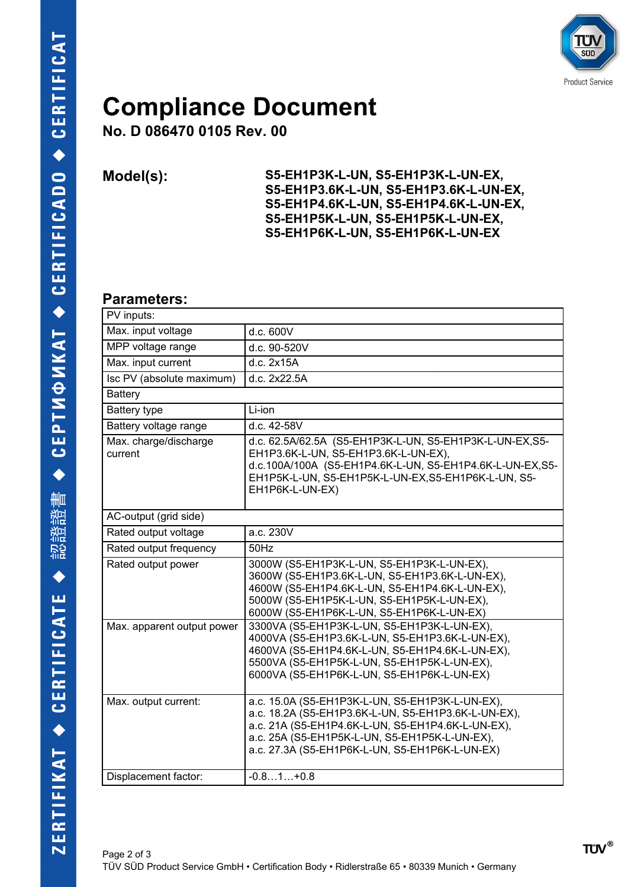

### **Compliance Document**

**No. D 086470 0105 Rev. 00**

**Model(s): S5-EH1P3K-L-UN, S5-EH1P3K-L-UN-EX, S5-EH1P3.6K-L-UN, S5-EH1P3.6K-L-UN-EX, S5-EH1P4.6K-L-UN, S5-EH1P4.6K-L-UN-EX, S5-EH1P5K-L-UN, S5-EH1P5K-L-UN-EX, S5-EH1P6K-L-UN, S5-EH1P6K-L-UN-EX**

#### **Parameters:**

| PV inputs:                       |                                                                                                                                                                                                                                                                |
|----------------------------------|----------------------------------------------------------------------------------------------------------------------------------------------------------------------------------------------------------------------------------------------------------------|
| Max. input voltage               | d.c. 600V                                                                                                                                                                                                                                                      |
| MPP voltage range                | d.c. 90-520V                                                                                                                                                                                                                                                   |
| Max. input current               | d.c. 2x15A                                                                                                                                                                                                                                                     |
| Isc PV (absolute maximum)        | d.c. 2x22.5A                                                                                                                                                                                                                                                   |
| Battery                          |                                                                                                                                                                                                                                                                |
| <b>Battery type</b>              | Li-ion                                                                                                                                                                                                                                                         |
| Battery voltage range            | d.c. 42-58V                                                                                                                                                                                                                                                    |
| Max. charge/discharge<br>current | d.c. 62.5A/62.5A (S5-EH1P3K-L-UN, S5-EH1P3K-L-UN-EX,S5-<br>EH1P3.6K-L-UN, S5-EH1P3.6K-L-UN-EX),<br>d.c.100A/100A (S5-EH1P4.6K-L-UN, S5-EH1P4.6K-L-UN-EX,S5-<br>EH1P5K-L-UN, S5-EH1P5K-L-UN-EX, S5-EH1P6K-L-UN, S5-<br>EH1P6K-L-UN-EX)                          |
| AC-output (grid side)            |                                                                                                                                                                                                                                                                |
| Rated output voltage             | a.c. 230V                                                                                                                                                                                                                                                      |
| Rated output frequency           | 50Hz                                                                                                                                                                                                                                                           |
| Rated output power               | 3000W (S5-EH1P3K-L-UN, S5-EH1P3K-L-UN-EX),<br>3600W (S5-EH1P3.6K-L-UN, S5-EH1P3.6K-L-UN-EX),<br>4600W (S5-EH1P4.6K-L-UN, S5-EH1P4.6K-L-UN-EX),<br>5000W (S5-EH1P5K-L-UN, S5-EH1P5K-L-UN-EX),<br>6000W (S5-EH1P6K-L-UN, S5-EH1P6K-L-UN-EX)                      |
| Max. apparent output power       | 3300VA (S5-EH1P3K-L-UN, S5-EH1P3K-L-UN-EX),<br>4000VA (S5-EH1P3.6K-L-UN, S5-EH1P3.6K-L-UN-EX),<br>4600VA (S5-EH1P4.6K-L-UN, S5-EH1P4.6K-L-UN-EX),<br>5500VA (S5-EH1P5K-L-UN, S5-EH1P5K-L-UN-EX),<br>6000VA (S5-EH1P6K-L-UN, S5-EH1P6K-L-UN-EX)                 |
| Max. output current:             | a.c. 15.0A (S5-EH1P3K-L-UN, S5-EH1P3K-L-UN-EX),<br>a.c. 18.2A (S5-EH1P3.6K-L-UN, S5-EH1P3.6K-L-UN-EX),<br>a.c. 21A (S5-EH1P4.6K-L-UN, S5-EH1P4.6K-L-UN-EX),<br>a.c. 25A (S5-EH1P5K-L-UN, S5-EH1P5K-L-UN-EX),<br>a.c. 27.3A (S5-EH1P6K-L-UN, S5-EH1P6K-L-UN-EX) |
| Displacement factor:             | $-0.81+0.8$                                                                                                                                                                                                                                                    |